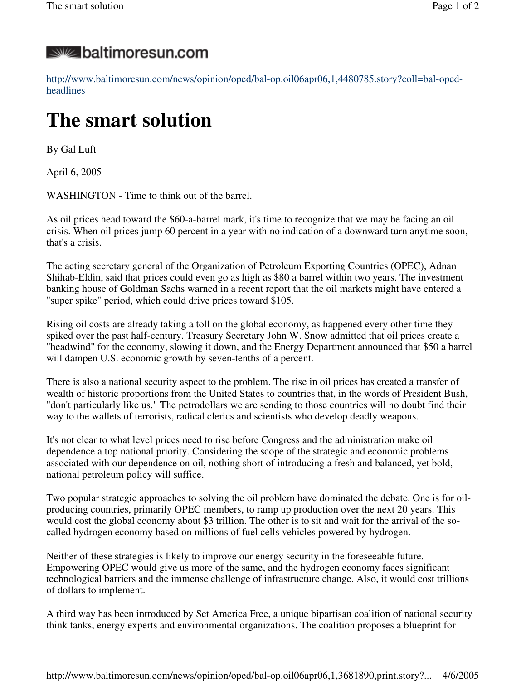## **Solut baltimoresun.com**

http://www.baltimoresun.com/news/opinion/oped/bal-op.oil06apr06,1,4480785.story?coll=bal-opedheadlines

## **The smart solution**

By Gal Luft

April 6, 2005

WASHINGTON - Time to think out of the barrel.

As oil prices head toward the \$60-a-barrel mark, it's time to recognize that we may be facing an oil crisis. When oil prices jump 60 percent in a year with no indication of a downward turn anytime soon, that's a crisis.

The acting secretary general of the Organization of Petroleum Exporting Countries (OPEC), Adnan Shihab-Eldin, said that prices could even go as high as \$80 a barrel within two years. The investment banking house of Goldman Sachs warned in a recent report that the oil markets might have entered a "super spike" period, which could drive prices toward \$105.

Rising oil costs are already taking a toll on the global economy, as happened every other time they spiked over the past half-century. Treasury Secretary John W. Snow admitted that oil prices create a "headwind" for the economy, slowing it down, and the Energy Department announced that \$50 a barrel will dampen U.S. economic growth by seven-tenths of a percent.

There is also a national security aspect to the problem. The rise in oil prices has created a transfer of wealth of historic proportions from the United States to countries that, in the words of President Bush, "don't particularly like us." The petrodollars we are sending to those countries will no doubt find their way to the wallets of terrorists, radical clerics and scientists who develop deadly weapons.

It's not clear to what level prices need to rise before Congress and the administration make oil dependence a top national priority. Considering the scope of the strategic and economic problems associated with our dependence on oil, nothing short of introducing a fresh and balanced, yet bold, national petroleum policy will suffice.

Two popular strategic approaches to solving the oil problem have dominated the debate. One is for oilproducing countries, primarily OPEC members, to ramp up production over the next 20 years. This would cost the global economy about \$3 trillion. The other is to sit and wait for the arrival of the socalled hydrogen economy based on millions of fuel cells vehicles powered by hydrogen.

Neither of these strategies is likely to improve our energy security in the foreseeable future. Empowering OPEC would give us more of the same, and the hydrogen economy faces significant technological barriers and the immense challenge of infrastructure change. Also, it would cost trillions of dollars to implement.

A third way has been introduced by Set America Free, a unique bipartisan coalition of national security think tanks, energy experts and environmental organizations. The coalition proposes a blueprint for